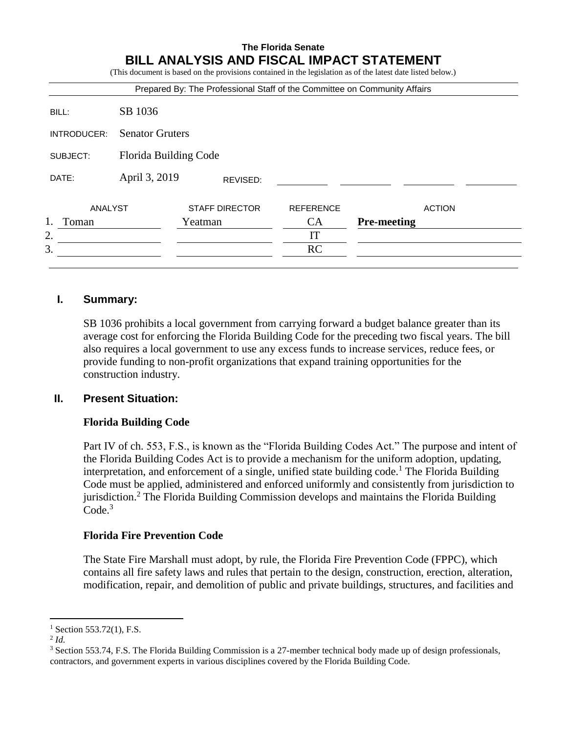# **The Florida Senate BILL ANALYSIS AND FISCAL IMPACT STATEMENT**

(This document is based on the provisions contained in the legislation as of the latest date listed below.)

|             |                        |                       |                  | Prepared By: The Professional Staff of the Committee on Community Affairs |
|-------------|------------------------|-----------------------|------------------|---------------------------------------------------------------------------|
| BILL:       | SB 1036                |                       |                  |                                                                           |
| INTRODUCER: | <b>Senator Gruters</b> |                       |                  |                                                                           |
| SUBJECT:    | Florida Building Code  |                       |                  |                                                                           |
| DATE:       | April 3, 2019          | REVISED:              |                  |                                                                           |
| ANALYST     |                        | <b>STAFF DIRECTOR</b> | <b>REFERENCE</b> | <b>ACTION</b>                                                             |
| 1.<br>Toman |                        | Yeatman               | CA               | <b>Pre-meeting</b>                                                        |
| 2.          |                        |                       | IT               |                                                                           |
| 3.          |                        |                       | <b>RC</b>        |                                                                           |

## **I. Summary:**

SB 1036 prohibits a local government from carrying forward a budget balance greater than its average cost for enforcing the Florida Building Code for the preceding two fiscal years. The bill also requires a local government to use any excess funds to increase services, reduce fees, or provide funding to non-profit organizations that expand training opportunities for the construction industry.

## **II. Present Situation:**

## **Florida Building Code**

Part IV of ch. 553, F.S., is known as the "Florida Building Codes Act." The purpose and intent of the Florida Building Codes Act is to provide a mechanism for the uniform adoption, updating, interpretation, and enforcement of a single, unified state building code.<sup>1</sup> The Florida Building Code must be applied, administered and enforced uniformly and consistently from jurisdiction to jurisdiction.<sup>2</sup> The Florida Building Commission develops and maintains the Florida Building Code.<sup>3</sup>

#### **Florida Fire Prevention Code**

The State Fire Marshall must adopt, by rule, the Florida Fire Prevention Code (FPPC), which contains all fire safety laws and rules that pertain to the design, construction, erection, alteration, modification, repair, and demolition of public and private buildings, structures, and facilities and

 $\overline{a}$ 

 $1$  Section 553.72(1), F.S.

<sup>2</sup> *Id.*

<sup>&</sup>lt;sup>3</sup> Section 553.74, F.S. The Florida Building Commission is a 27-member technical body made up of design professionals, contractors, and government experts in various disciplines covered by the Florida Building Code.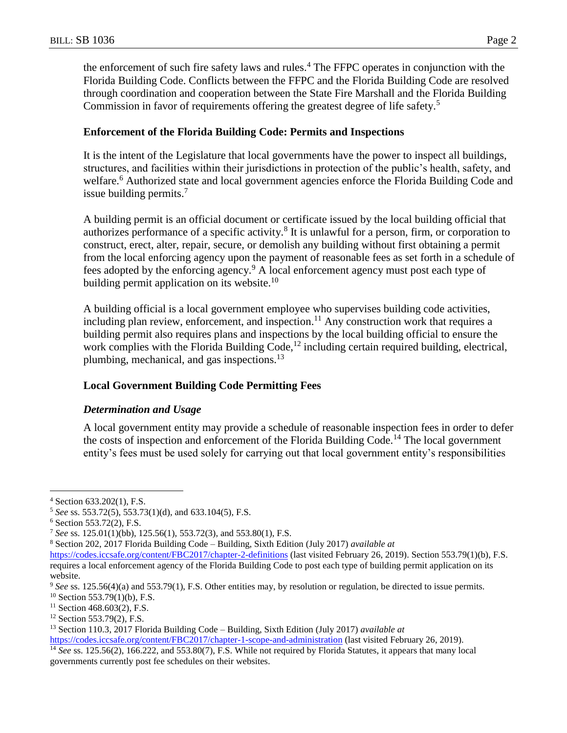the enforcement of such fire safety laws and rules.<sup>4</sup> The FFPC operates in conjunction with the Florida Building Code. Conflicts between the FFPC and the Florida Building Code are resolved through coordination and cooperation between the State Fire Marshall and the Florida Building Commission in favor of requirements offering the greatest degree of life safety.<sup>5</sup>

## **Enforcement of the Florida Building Code: Permits and Inspections**

It is the intent of the Legislature that local governments have the power to inspect all buildings, structures, and facilities within their jurisdictions in protection of the public's health, safety, and welfare.<sup>6</sup> Authorized state and local government agencies enforce the Florida Building Code and issue building permits.<sup>7</sup>

A building permit is an official document or certificate issued by the local building official that authorizes performance of a specific activity.<sup>8</sup> It is unlawful for a person, firm, or corporation to construct, erect, alter, repair, secure, or demolish any building without first obtaining a permit from the local enforcing agency upon the payment of reasonable fees as set forth in a schedule of fees adopted by the enforcing agency.<sup>9</sup> A local enforcement agency must post each type of building permit application on its website.<sup>10</sup>

A building official is a local government employee who supervises building code activities, including plan review, enforcement, and inspection.<sup>11</sup> Any construction work that requires a building permit also requires plans and inspections by the local building official to ensure the work complies with the Florida Building Code,<sup>12</sup> including certain required building, electrical, plumbing, mechanical, and gas inspections.<sup>13</sup>

## **Local Government Building Code Permitting Fees**

#### *Determination and Usage*

A local government entity may provide a schedule of reasonable inspection fees in order to defer the costs of inspection and enforcement of the Florida Building Code.<sup>14</sup> The local government entity's fees must be used solely for carrying out that local government entity's responsibilities

 $\overline{a}$ 

<sup>4</sup> Section 633.202(1), F.S.

<sup>5</sup> *See* ss. 553.72(5), 553.73(1)(d), and 633.104(5), F.S.

 $6$  Section 553.72(2), F.S.

<sup>7</sup> *See* ss. 125.01(1)(bb), 125.56(1), 553.72(3), and 553.80(1), F.S.

<sup>8</sup> Section 202, 2017 Florida Building Code – Building, Sixth Edition (July 2017) *available at*

<https://codes.iccsafe.org/content/FBC2017/chapter-2-definitions> (last visited February 26, 2019). Section 553.79(1)(b), F.S. requires a local enforcement agency of the Florida Building Code to post each type of building permit application on its website.

<sup>9</sup> *See* ss. 125.56(4)(a) and 553.79(1), F.S. Other entities may, by resolution or regulation, be directed to issue permits.

 $10$  Section 553.79(1)(b), F.S.

 $11$  Section 468.603(2), F.S.

<sup>12</sup> Section 553.79(2), F.S.

<sup>13</sup> Section 110.3, 2017 Florida Building Code – Building, Sixth Edition (July 2017) *available at*

<https://codes.iccsafe.org/content/FBC2017/chapter-1-scope-and-administration> (last visited February 26, 2019).

<sup>&</sup>lt;sup>14</sup> See ss. 125.56(2), 166.222, and 553.80(7), F.S. While not required by Florida Statutes, it appears that many local governments currently post fee schedules on their websites.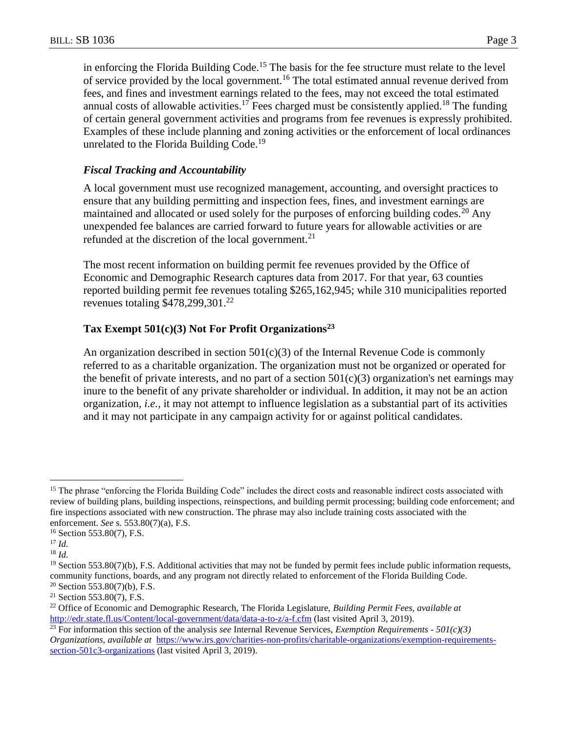in enforcing the Florida Building Code.<sup>15</sup> The basis for the fee structure must relate to the level of service provided by the local government.<sup>16</sup> The total estimated annual revenue derived from fees, and fines and investment earnings related to the fees, may not exceed the total estimated annual costs of allowable activities.<sup>17</sup> Fees charged must be consistently applied.<sup>18</sup> The funding of certain general government activities and programs from fee revenues is expressly prohibited. Examples of these include planning and zoning activities or the enforcement of local ordinances unrelated to the Florida Building Code.<sup>19</sup>

# *Fiscal Tracking and Accountability*

A local government must use recognized management, accounting, and oversight practices to ensure that any building permitting and inspection fees, fines, and investment earnings are maintained and allocated or used solely for the purposes of enforcing building codes.<sup>20</sup> Any unexpended fee balances are carried forward to future years for allowable activities or are refunded at the discretion of the local government.<sup>21</sup>

The most recent information on building permit fee revenues provided by the Office of Economic and Demographic Research captures data from 2017. For that year, 63 counties reported building permit fee revenues totaling \$265,162,945; while 310 municipalities reported revenues totaling  $$478,299,301.<sup>22</sup>$ 

# **Tax Exempt 501(c)(3) Not For Profit Organizations<sup>23</sup>**

An organization described in section  $501(c)(3)$  of the Internal Revenue Code is commonly referred to as a charitable organization. The organization must not be organized or operated for the benefit of private interests, and no part of a section  $501(c)(3)$  organization's net earnings may inure to the benefit of any private shareholder or individual. In addition, it may not be an action organization*, i.e.,* it may not attempt to influence legislation as a substantial part of its activities and it may not participate in any campaign activity for or against political candidates.

 $\overline{a}$ 

<sup>18</sup> *Id.*

<sup>&</sup>lt;sup>15</sup> The phrase "enforcing the Florida Building Code" includes the direct costs and reasonable indirect costs associated with review of building plans, building inspections, reinspections, and building permit processing; building code enforcement; and fire inspections associated with new construction. The phrase may also include training costs associated with the enforcement. *See* s. 553.80(7)(a), F.S.

<sup>16</sup> Section 553.80(7), F.S.

<sup>17</sup> *Id.*

 $19$  Section 553.80(7)(b), F.S. Additional activities that may not be funded by permit fees include public information requests, community functions, boards, and any program not directly related to enforcement of the Florida Building Code.  $20$  Section 553.80(7)(b), F.S.

<sup>21</sup> Section 553.80(7), F.S.

<sup>22</sup> Office of Economic and Demographic Research, The Florida Legislature, *Building Permit Fees, available at* <http://edr.state.fl.us/Content/local-government/data/data-a-to-z/a-f.cfm> (last visited April 3, 2019).

<sup>23</sup> For information this section of the analysis *see* Internal Revenue Services, *Exemption Requirements - 501(c)(3) Organizations*, *available at* [https://www.irs.gov/charities-non-profits/charitable-organizations/exemption-requirements](https://www.irs.gov/charities-non-profits/charitable-organizations/exemption-requirements-section-501c3-organizations)[section-501c3-organizations](https://www.irs.gov/charities-non-profits/charitable-organizations/exemption-requirements-section-501c3-organizations) (last visited April 3, 2019).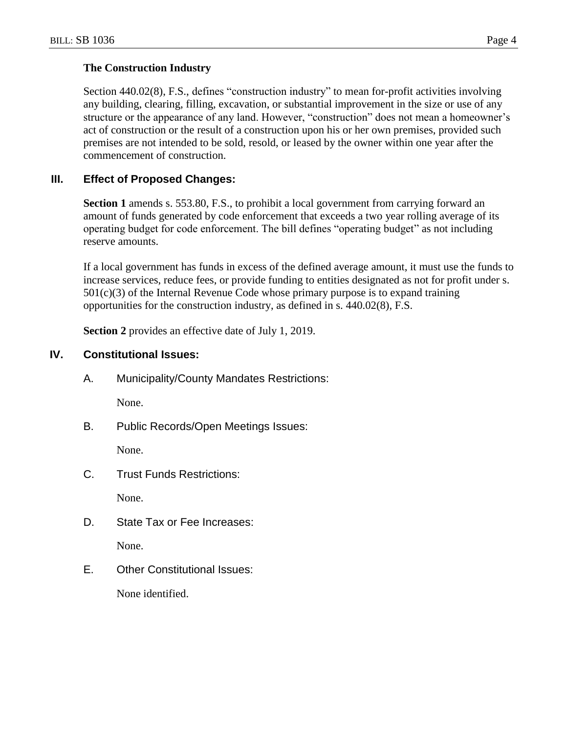## **The Construction Industry**

Section 440.02(8), F.S., defines "construction industry" to mean for-profit activities involving any building, clearing, filling, excavation, or substantial improvement in the size or use of any structure or the appearance of any land. However, "construction" does not mean a homeowner's act of construction or the result of a construction upon his or her own premises, provided such premises are not intended to be sold, resold, or leased by the owner within one year after the commencement of construction.

# **III. Effect of Proposed Changes:**

**Section 1** amends s. 553.80, F.S., to prohibit a local government from carrying forward an amount of funds generated by code enforcement that exceeds a two year rolling average of its operating budget for code enforcement. The bill defines "operating budget" as not including reserve amounts.

If a local government has funds in excess of the defined average amount, it must use the funds to increase services, reduce fees, or provide funding to entities designated as not for profit under s.  $501(c)(3)$  of the Internal Revenue Code whose primary purpose is to expand training opportunities for the construction industry, as defined in s. 440.02(8), F.S.

**Section 2** provides an effective date of July 1, 2019.

## **IV. Constitutional Issues:**

A. Municipality/County Mandates Restrictions:

None.

B. Public Records/Open Meetings Issues:

None.

C. Trust Funds Restrictions:

None.

D. State Tax or Fee Increases:

None.

E. Other Constitutional Issues:

None identified.